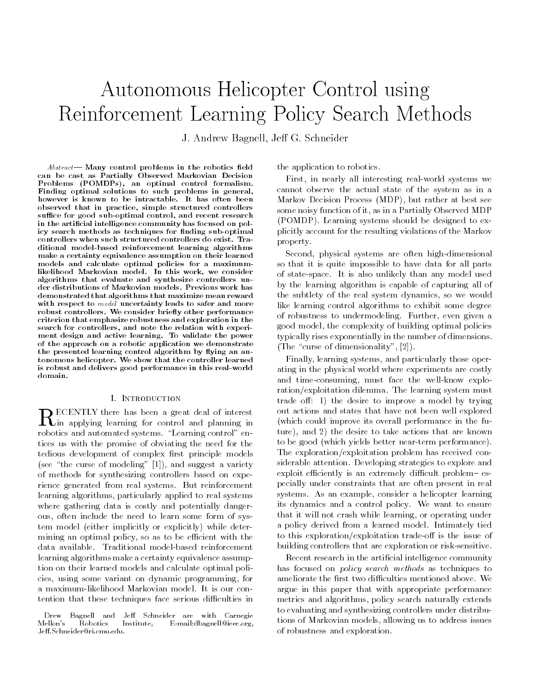# Autonomous Helicopter Control using Reinforcement Learning Policy Search Methods

J. Andrew Bagnell, Jeff G. Schneider

 $Abstract$  Many control problems in the robotics field can be cast as Partially Observed Markovian DecisionProblems (POMDPs), an optimal control formalism. Finding optimal solutions to such problems in general,however is known to be intractable. It has often been observed that in practice, simple structured controllerssuffice for good sub-optimal control, and recent research in the articial intelligence community has focused on policy search methods as techniques for finding sub-optimal controllers when such structured controllers do exist. Traditional model-based reinforcement learning algorithmsmake a certainty equivalence assumption on their learnedmodels and calculate optimal policies for a maximumlikelihood Markovian model. In this work, we consider algorithms that evaluate and synthesize controllers under distributions of Markovian models. Previous work hasdemonstrated that algorithms that maximize mean rewardwith respect to model uncertainty leads to safer and more robust controllers. We consider briefly other performance criterion that emphasize robustness and exploration in thesearch for controllers, and note the relation with experiment design and active learning. To validate the powerof the approach on a robotic application we demonstratethe presented learning control algorithm by flying an autonomous helicopter. We show that the controller learnedis robust and delivers good performance in this real-worlddomain.

## **I. INTRODUCTION**

 $\mathbf{K}$ in applying learning for control and planning in robotics and automated systems. "Learning control" entices us with the promise of obviating the need for the tedious development of complex first principle models (see "the curse of modeling"  $[1]$ ), and suggest a variety of methods for synthesizing controllers based on experience generated from real systems. But reinforcement learning algorithms, particularly applied to real systems where gathering data is costly and potentially dangerous, often include the need to learn some form of system model (either implicitly or explicitly) while determining an optimal policy, so as to be efficient with the data available. Traditional model-based reinforcement learning algorithms make a certainty equivalence assumption on their learned models and calculate optimal policies, using some variant on dynamic programming, for a maximum-likelihood Markovian model. It is our contention that these techniques face serious difficulties in

the application to robotics.

First, in nearly all interesting real-world systems we cannot observe the actual state of the system as in a Markov Decision Process (MDP), but rather at best see some noisy function of it, as in a Partially Observed MDP (POMDP). Learning systems should be designed to explicitly account for the resulting violations of the Markov property.

Second, physical systems are often high-dimensional so that it is quite impossible to have data for all parts of state-space. It is also unlikely than any model used by the learning algorithm is capable of capturing all of the subtlety of the real system dynamics, so we would like learning control algorithms to exhibit some degree of robustness to undermodeling. Further, even given a good model, the complexity of building optimal policies typically rises exponentially in the number of dimensions. (The "curse of dimensionality",  $[2]$ ).

Finally, learning systems, and particularly those operating in the physical world where experiments are costly and time-consuming, must face the well-know exploration/exploitation dilemma. The learning system must trade off: 1) the desire to improve a model by trying out actions and states that have not been well explored (which could improve its overall performance in the future), and 2) the desire to take actions that are known to be good (which yields better near-term performance). The exploration/exploitation problem has received considerable attention. Developing strategies to explore and exploit efficiently is an extremely difficult problem  $-e$ specially under constraints that are often present in real systems. As an example, consider a helicopter learning its dynamics and a control policy. We want to ensure that it will not crash while learning, or operating under a policy derived from a learned model. Intimately tied to this exploration/exploitation trade-off is the issue of building controllers that are exploration or risk-sensitive.

Recent research in the articial intelligence community has focused on policy search methods as techniques to ameliorate the first two difficulties mentioned above. We argue in this paper that with appropriate performance metrics and algorithms, policy search naturally extends to evaluating and synthesizing controllers under distributions of Markovian models, allowing us to address issues of robustness and exploration.

Drew Bagnell and Jeff Schneider are with Carnegie Mellon's Robotics Institute, E-mail:dbagnell@ieee.org, Jeff.Schneider@ri.cmu.edu.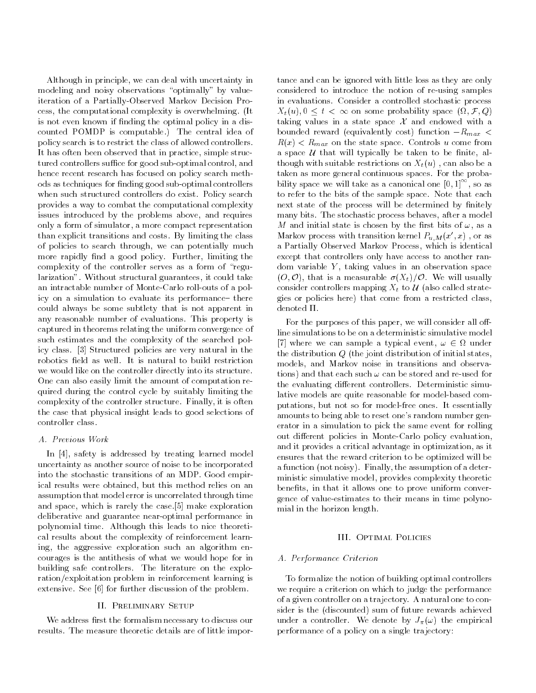Although in principle, we can deal with uncertainty in modeling and noisy observations "optimally" by valueiteration of a Partially-Observed Markov Decision Process, the computational complexity is overwhelming. (It is not even known if finding the optimal policy in a discounted POMDP is computable.) The central idea of policy search is to restrict the class of allowed controllers. It has often been observed that in practice, simple structured controllers suffice for good sub-optimal control, and hence recent research has focused on policy search methods as techniques for nding good sub-optimal controllers when such structured controllers do exist. Policy search provides a way to combat the computational complexity issues introduced by the problems above, and requires only a form of simulator, a more compact representation than explicit transitions and costs. By limiting the class of policies to search through, we can potentially much more rapidly find a good policy. Further, limiting the complexity of the controller serves as a form of "regularization". Without structural guarantees, it could take an intractable number of Monte-Carlo roll-outs of a policy on a simulation to evaluate its performance- there could always be some subtlety that is not apparent in any reasonable number of evaluations. This property is captured in theorems relating the uniform convergence of such estimates and the complexity of the searched policy class. [3] Structured policies are very natural in the robotics field as well. It is natural to build restriction we would like on the controller directly into its structure. One can also easily limit the amount of computation required during the control cycle by suitably limiting the complexity of the controller structure. Finally, it is often the case that physical insight leads to good selections of controller class.

# A. Previous Work

In [4], safety is addressed by treating learned model uncertainty as another source of noise to be incorporated into the stochastic transitions of an MDP. Good empirical results were obtained, but this method relies on an assumption that model error is uncorrelated through time and space, which is rarely the case.[5] make exploration deliberative and guarantee near-optimal performance in polynomial time. Although this leads to nice theoretical results about the complexity of reinforcement learning, the aggressive exploration such an algorithm encourages is the antithesis of what we would hope for in building safe controllers. The literature on the exploration/exploitation problem in reinforcement learning is extensive. See [6] for further discussion of the problem.

# II. Preliminary Setup

We address first the formalism necessary to discuss our results. The measure theoretic details are of little importance and can be ignored with little loss as they are only considered to introduce the notion of re-using samples in evaluations. Consider a controlled stochastic process  $\{x_i(\omega)\}\cup\{x_i\}$  or  $\infty$  on some probability space (i.e.  $\{x_i\}$ taking values in a state space  $\mathcal X$  and endowed with a bounded reward (equivalently cost) function  $-R_{max}$  <  $R(x) < R_{max}$  on the state space. Controls u come from a space  $U$  that will typically be taken to be finite, although with suitable restrictions on  $X_t(u)$ , can also be a taken as more general continuous spaces. For the probability space we will take as a canonical one  $[0,1]$ , so as to refer to the bits of the sample space. Note that each next state of the process will be determined by finitely many bits. The stochastic process behaves, after a model M and initial state is chosen by the first bits of  $\omega$ , as a Markov process with transition kernel  $P_{u,M}(x',x)$ , or as a Partially Observed Markov Process, which is identical except that controllers only have access to another random variable  $Y$ , taking values in an observation space  $(0,0)$ , that is a measurable  $\sigma(X_t)/\mathcal{O}$ . We will usually consider controllers mapping  $X_t$  to  $\mathcal U$  (also called strategies or policies here) that come from a restricted class, denoted  $\Pi$ .

For the purposes of this paper, we will consider all offline simulations to be on a deterministic simulative model  $\mathcal{I}$  where we can sample a typical event, if  $\mathcal{I}$  as sample the distribution <sup>Q</sup> (the joint distribution of initial states, models, and Markov noise in transitions and observations) and that each such  $\omega$  can be stored and re-used for the evaluating different controllers. Deterministic simulative models are quite reasonable for model-based computations, but not so for model-free ones. It essentially amounts to being able to reset one's random number generator in a simulation to pick the same event for rolling out different policies in Monte-Carlo policy evaluation, and it provides a critical advantage in optimization, as it ensures that the reward criterion to be optimized will be a function (not noisy). Finally, the assumption of a deterministic simulative model, provides complexity theoretic benefits, in that it allows one to prove uniform convergence of value-estimates to their means in time polynomial in the horizon length.

# III. Optimal Policies

# A. Performance Criterion

To formalize the notion of building optimal controllers we require a criterion on which to judge the performance of a given controller on a trajectory. A natural one to consider is the (discounted) sum of future rewards achieved under a controller. We denote by  $J_{\pi}(\omega)$  the empirical performance of a policy on a single trajectory: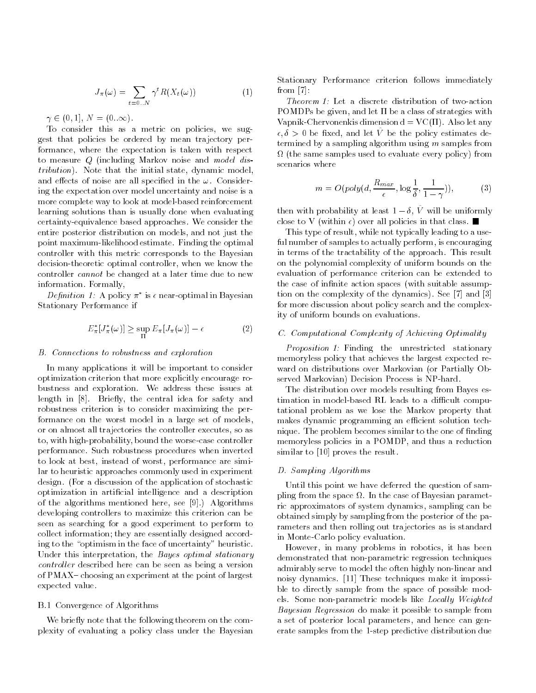$$
J_{\pi}(\omega) = \sum_{t=0}^{\infty} \gamma^t R(X_t(\omega))
$$
 (1)

 $\gamma \in (0, 1], N = (0..\infty).$ 

To consider this as a metric on policies, we suggest that policies be ordered by mean trajectory performance, where the expectation is taken with respect to measure <sup>Q</sup> (including Markov noise and model distribution). Note that the initial state, dynamic model, and effects of noise are all specified in the  $\omega$ . Considering the expectation over model uncertainty and noise is a more complete way to look at model-based reinforcement learning solutions than is usually done when evaluating certainty-equivalence based approaches. We consider the entire posterior distribution on models, and not just the point maximum-likelihood estimate. Finding the optimal controller with this metric corresponds to the Bayesian decision-theoretic optimal controller, when we know the controller cannot be changed at a later time due to new information. Formally,

 $D$ ennition 1: A policy  $\pi$  is  $\epsilon$  near-optimal in Bayesian Stationary Performance if

$$
E_{\pi}^*[J_{\pi}^*(\omega)] \ge \sup_{\Pi} E_{\pi}[J_{\pi}(\omega)] - \epsilon \tag{2}
$$

### B. Connections to robustness and exploration

In many applications it will be important to consider optimization criterion that more explicitly encourage robustness and exploration. We address these issues at length in [8]. Briefly, the central idea for safety and robustness criterion is to consider maximizing the performance on the worst model in a large set of models, or on almost all trajectories the controller executes, so as to, with high-probability, bound the worse-case controller performance. Such robustness procedures when inverted to look at best, instead of worst, performance are similar to heuristic approaches commonly used in experiment design. (For a discussion of the application of stochastic optimization in articial intelligence and a description of the algorithms mentioned here, see [9].) Algorithms developing controllers to maximize this criterion can be seen as searching for a good experiment to perform to collect information; they are essentially designed according to the "optimism in the face of uncertainty" heuristic. Under this interpretation, the Bayes optimal stationary controller described here can be seen as being a version of PMAX - choosing an experiment at the point of largest expected value.

# B.1 Convergence of Algorithms

We briefly note that the following theorem on the complexity of evaluating a policy class under the Bayesian Stationary Performance criterion follows immediately from [7]:

Theorem 1: Let a discrete distribution of two-action POMDPs be given, and let  $\Pi$  be a class of strategies with Vapnik-Chervonenkis dimension  $d = VC(\Pi)$ . Also let any  $\epsilon, \delta > 0$  be fixed, and let  $\hat{V}$  be the policy estimates determined by a sampling algorithm using  $m$  samples from (the same samples used to evaluate every policy) from scenarios where

$$
m = O(\text{poly}(d, \frac{R_{max}}{\epsilon}, \log \frac{1}{\delta}, \frac{1}{1-\gamma})),\tag{3}
$$

then with probability at least  $1 - \delta$ ,  $\hat{V}$  will be uniformly close to V (within  $\epsilon$ ) over all policies in that class.  $\blacksquare$ 

This type of result, while not typically leading to a useful number of samples to actually perform, is encouraging in terms of the tractability of the approach. This result on the polynomial complexity of uniform bounds on the evaluation of performance criterion can be extended to the case of infinite action spaces (with suitable assumption on the complexity of the dynamics). See [7] and [3] for more discussion about policy search and the complexity of uniform bounds on evaluations.

# C. Computational Complexity of Achieving Optimality

Proposition 1: Finding the unrestricted stationary memoryless policy that achieves the largest expected re ward on distributions over Markovian (or Partially Observed Markovian) Decision Process is NP-hard.

The distribution over models resulting from Bayes estimation in model-based RL leads to a difficult computational problem as we lose the Markov property that makes dynamic programming an efficient solution technique. The problem becomes similar to the one of finding memoryless policies in a POMDP, and thus a reduction similar to [10] proves the result.

# D. Sampling Algorithms

Until this point we have deferred the question of sampling from the space of Bayesian parameters of Bayesian parameters. ric approximators of system dynamics, sampling can be obtained simply by sampling from the posterior of the parameters and then rolling out trajectories as is standard in Monte-Carlo policy evaluation.

However, in many problems in robotics, it has been demonstrated that non-parametric regression techniques admirably serve to model the often highly non-linear and noisy dynamics. [11] These techniques make it impossible to directly sample from the space of possible models. Some non-parametric models like Locally Weighted Bayesian Regression do make it possible to sample from a set of posterior local parameters, and hence can generate samples from the 1-step predictive distribution due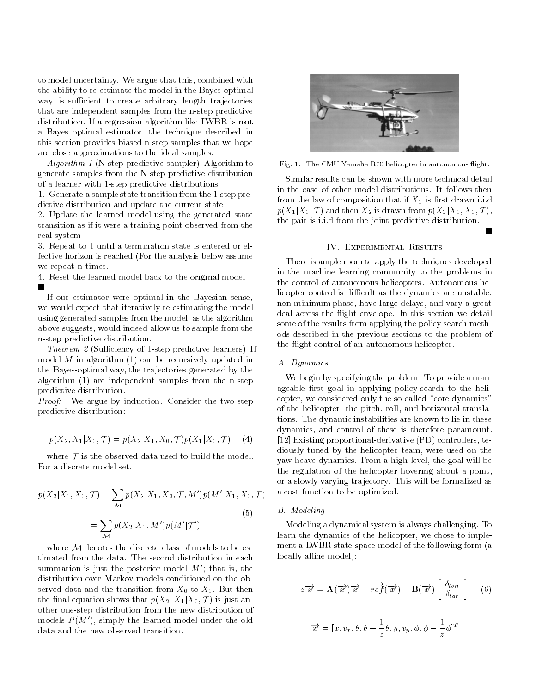to model uncertainty. We argue that this, combined with the ability to re-estimate the model in the Bayes-optimal way, is sufficient to create arbitrary length trajectories that are independent samples from the n-step predictive distribution. If a regression algorithm like LWBR is not a Bayes optimal estimator, the technique described in this section provides biased n-step samples that we hope are close approximations to the ideal samples.

Algorithm 1 (N-step predictive sampler) Algorithm to generate samples from the N-step predictive distribution of a learner with 1-step predictive distributions

1. Generate a sample state transition from the 1-step predictive distribution and update the current state

2. Update the learned model using the generated state transition as if it were a training point observed from the real system

3. Repeat to 1 until a termination state is entered or effective horizon is reached (For the analysis below assume we repeat n times.

4. Reset the learned model back to the original model  $\blacksquare$ 

If our estimator were optimal in the Bayesian sense, we would expect that iteratively re-estimating the model using generated samples from the model, as the algorithm above suggests, would indeed allow us to sample from the n-step predictive distribution.

Theorem  $2$  (Sufficiency of 1-step predictive learners) If model  $M$  in algorithm  $(1)$  can be recursively updated in the Bayes-optimal way, the trajectories generated by the algorithm (1) are independent samples from the n-step predictive distribution.

Proof: We argue by induction. Consider the two step predictive distribution:

$$
p(X_2, X_1 | X_0, \mathcal{T}) = p(X_2 | X_1, X_0, \mathcal{T}) p(X_1 | X_0, \mathcal{T}) \tag{4}
$$

where  $\mathcal T$  is the observed data used to build the model. For a discrete model set,

$$
p(X_2|X_1, X_0, \mathcal{T}) = \sum_{\mathcal{M}} p(X_2|X_1, X_0, \mathcal{T}, M')p(M'|X_1, X_0, \mathcal{T})
$$
  
= 
$$
\sum_{\mathcal{M}} p(X_2|X_1, M')p(M'|T')
$$
 (5)

where  $M$  denotes the discrete class of models to be estimated from the data. The second distribution in each summation is just the posterior model  $M'$ ; that is, the distribution over Markov models conditioned on the observed data and the transition from  $X_0$  to  $X_1$ . But then the final equation shows that  $p(X_2, X_1 | X_0, \mathcal{T})$  is just another one-step distribution from the new distribution of models  $P(M')$ , simply the learned model under the old data and the new observed transition.



Fig. 1. The CMU Yamaha R50 helicopter in autonomous flight.

Similar results can be shown with more technical detail from the law of composition that if  $X_1$  is first drawn i.i.d  $p(X_1|X_0, \mathcal{T})$  and then  $X_2$  is drawn from  $p(X_2|X_1, X_0, \mathcal{T})$ , the pair is i.i.d from the joint predictive distribution.

There is ample room to apply the techniques developed in the machine learning community to the problems in the control of autonomous helicopters. Autonomous helicopter control is difficult as the dynamics are unstable, non-minimum phase, have large delays, and vary a great deal across the flight envelope. In this section we detail some of the results from applying the policy search methods described in the previous sections to the problem of the flight control of an autonomous helicopter.

### A. Dynamics

We begin by specifying the problem. To provide a manageable first goal in applying policy-search to the helicopter, we considered only the so-called "core dynamics" of the helicopter, the pitch, roll, and horizontal translations. The dynamic instabilities are known to lie in these dynamics, and control of these is therefore paramount. [12] Existing proportional-derivative (PD) controllers, tediously tuned by the helicopter team, were used on the yaw-heave dynamics. From a high-level, the goal will be the regulation of the helicopter hovering about a point, or a slowly varying trajectory. This will be formalized as a cost function to be optimized.

# B. Modeling

Modeling a dynamical system is always challenging. To learn the dynamics of the helicopter, we chose to imple ment a LWBR state-space model of the following form (a locally affine model):

$$
z\overrightarrow{x} = \mathbf{A}(\overrightarrow{x})\overrightarrow{x} + \overrightarrow{ref}(\overrightarrow{x}) + \mathbf{B}(\overrightarrow{x}) \begin{bmatrix} \delta_{lon} \\ \delta_{lat} \end{bmatrix}
$$
 (6)

$$
\overrightarrow{x} = [x, v_x, \theta, \theta - \frac{1}{z}\theta, y, v_y, \phi, \phi - \frac{1}{z}\phi]^T
$$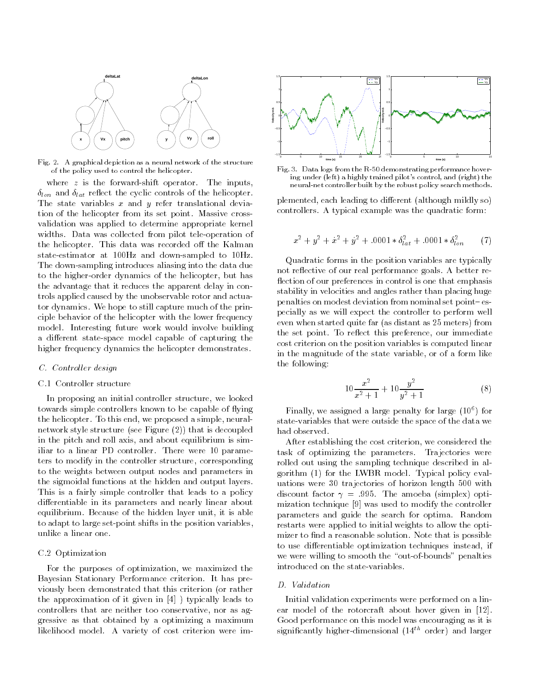

Fig. 2. A graphical depiction as a neural network of the structure of the policy used to control the helicopter.

where  $z$  is the forward-shift operator. The inputs,  $\delta_{lon}$  and  $\delta_{lat}$  reflect the cyclic controls of the helicopter. The state variables  $x$  and  $y$  refer translational deviation of the helicopter from its set point. Massive crossvalidation was applied to determine appropriate kernel widths. Data was collected from pilot tele-operation of the helicopter. This data was recorded off the Kalman state-estimator at 100Hz and down-sampled to 10Hz. The down-sampling introduces aliasing into the data due to the higher-order dynamics of the helicopter, but has the advantage that it reduces the apparent delay in controls applied caused by the unobservable rotor and actuator dynamics. We hope to still capture much of the principle behavior of the helicopter with the lower frequency model. Interesting future work would involve building a different state-space model capable of capturing the higher frequency dynamics the helicopter demonstrates.

# C. Controller design

# C.1 Controller structure

In proposing an initial controller structure, we looked towards simple controllers known to be capable of flying the helicopter. To this end, we proposed a simple, neuralnetwork style structure (see Figure (2)) that is decoupled in the pitch and roll axis, and about equilibrium is similiar to a linear PD controller. There were 10 parameters to modify in the controller structure, corresponding to the weights between output nodes and parameters in the sigmoidal functions at the hidden and output layers. This is a fairly simple controller that leads to a policy differentiable in its parameters and nearly linear about equilibrium. Because of the hidden layer unit, it is able to adapt to large set-point shifts in the position variables, unlike a linear one.

# C.2 Optimization

For the purposes of optimization, we maximized the Bayesian Stationary Performance criterion. It has previously been demonstrated that this criterion (or rather the approximation of it given in [4] ) typically leads to controllers that are neither too conservative, nor as aggressive as that obtained by a optimizing a maximum likelihood model. A variety of cost criterion were im-



Fig. 3. Data logs from the R-50 demonstrating performance hovering under (left) a highly trained pilot's control, and (right) the neural-net controller built by the robust policy search methods.

plemented, each leading to different (although mildly so) controllers. A typical example was the quadratic form:

$$
x^{2} + y^{2} + x^{2} + y^{2} + .0001 * \delta_{lat}^{2} + .0001 * \delta_{lon}^{2}
$$
 (7)

Quadratic forms in the position variables are typically not reflective of our real performance goals. A better reflection of our preferences in control is one that emphasis stability in velocities and angles rather than placing huge penalties on modest deviation from nominal set point{ especially as we will expect the controller to perform well even when started quite far (as distant as 25 meters) from the set point. To reflect this preference, our immediate cost criterion on the position variables is computed linear in the magnitude of the state variable, or of a form like the following:

$$
10\frac{x^2}{x^2+1} + 10\frac{y^2}{y^2+1}
$$
 (8)

Finally, we assigned a large penalty for large (106 ) for state-variables that were outside the space of the data we had observed.

After establishing the cost criterion, we considered the task of optimizing the parameters. Trajectories were rolled out using the sampling technique described in algorithm (1) for the LWBR model. Typical policy evaluations were 30 trajectories of horizon length 500 with discount factor  $\gamma = .995$ . The amoeba (simplex) optimization technique [9] was used to modify the controller parameters and guide the search for optima. Random restarts were applied to initial weights to allow the optimizer to find a reasonable solution. Note that is possible to use differentiable optimization techniques instead, if we were willing to smooth the "out-of-bounds" penalties introduced on the state-variables.

# D. Validation

Initial validation experiments were performed on a linear model of the rotorcraft about hover given in [12]. Good performance on this model was encouraging as it is significantly higher-dimensional  $(14^{th}$  order) and larger